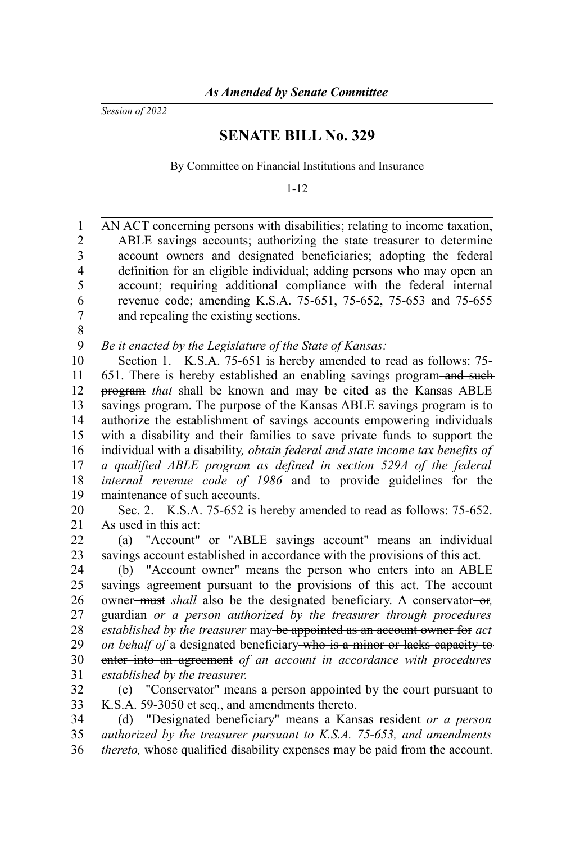*Session of 2022*

## **SENATE BILL No. 329**

By Committee on Financial Institutions and Insurance

1-12

AN ACT concerning persons with disabilities; relating to income taxation, ABLE savings accounts; authorizing the state treasurer to determine account owners and designated beneficiaries; adopting the federal definition for an eligible individual; adding persons who may open an account; requiring additional compliance with the federal internal revenue code; amending K.S.A. 75-651, 75-652, 75-653 and 75-655 and repealing the existing sections. 1 2 3 4 5 6 7

8

*Be it enacted by the Legislature of the State of Kansas:* 9

Section 1. K.S.A. 75-651 is hereby amended to read as follows: 75- 651. There is hereby established an enabling savings program-and such program *that* shall be known and may be cited as the Kansas ABLE savings program. The purpose of the Kansas ABLE savings program is to authorize the establishment of savings accounts empowering individuals with a disability and their families to save private funds to support the individual with a disability*, obtain federal and state income tax benefits of a qualified ABLE program as defined in section 529A of the federal internal revenue code of 1986* and to provide guidelines for the maintenance of such accounts. 10 11 12 13 14 15 16 17 18 19

Sec. 2. K.S.A. 75-652 is hereby amended to read as follows: 75-652. As used in this act: 20 21

(a) "Account" or "ABLE savings account" means an individual savings account established in accordance with the provisions of this act. 22 23

(b) "Account owner" means the person who enters into an ABLE savings agreement pursuant to the provisions of this act. The account owner<del>-must</del> shall also be the designated beneficiary. A conservator-or, guardian *or a person authorized by the treasurer through procedures established by the treasurer* may be appointed as an account owner for *act on behalf of* a designated beneficiary who is a minor or lacks capacity to enter into an agreement *of an account in accordance with procedures established by the treasurer*. 24 25 26 27 28 29 30 31

(c) "Conservator" means a person appointed by the court pursuant to K.S.A. 59-3050 et seq., and amendments thereto. 32 33

(d) "Designated beneficiary" means a Kansas resident *or a person authorized by the treasurer pursuant to K.S.A. 75-653, and amendments thereto,* whose qualified disability expenses may be paid from the account. 34 35 36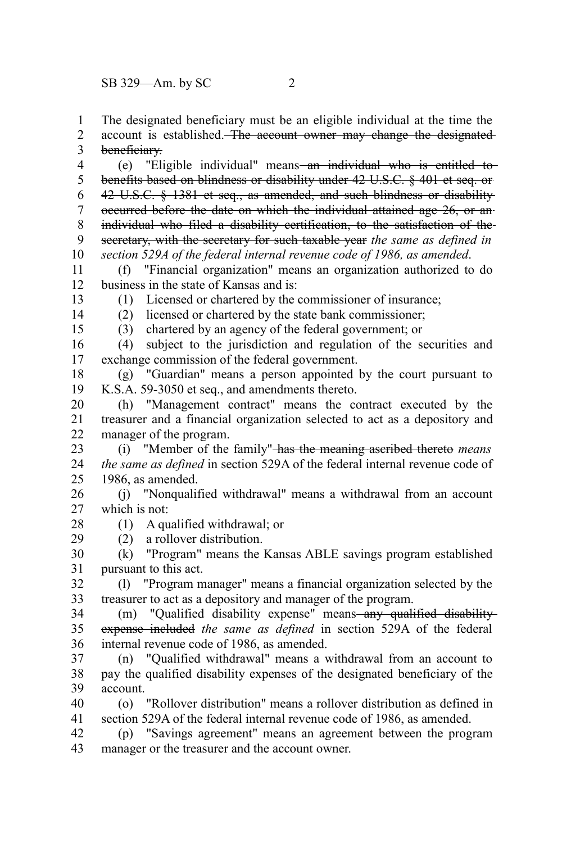The designated beneficiary must be an eligible individual at the time the account is established. The account owner may change the designated beneficiary. 1 2 3

(e) "Eligible individual" means an individual who is entitled tobenefits based on blindness or disability under 42 U.S.C. § 401 et seq. or 42 U.S.C. § 1381 et seq., as amended, and such blindness or disability occurred before the date on which the individual attained age 26, or an individual who filed a disability certification, to the satisfaction of the secretary, with the secretary for such taxable year *the same as defined in section 529A of the federal internal revenue code of 1986, as amended*. 4 5 6 7 8 9 10

(f) "Financial organization" means an organization authorized to do business in the state of Kansas and is: 11 12

13 14

> 28 29

(1) Licensed or chartered by the commissioner of insurance;

15

(2) licensed or chartered by the state bank commissioner;

(3) chartered by an agency of the federal government; or

(4) subject to the jurisdiction and regulation of the securities and exchange commission of the federal government. 16 17

(g) "Guardian" means a person appointed by the court pursuant to K.S.A. 59-3050 et seq., and amendments thereto. 18 19

(h) "Management contract" means the contract executed by the treasurer and a financial organization selected to act as a depository and manager of the program. 20 21 22

(i) "Member of the family" has the meaning ascribed thereto *means the same as defined* in section 529A of the federal internal revenue code of 1986, as amended. 23 24 25

(j) "Nonqualified withdrawal" means a withdrawal from an account which is not: 26 27

(1) A qualified withdrawal; or

(2) a rollover distribution.

(k) "Program" means the Kansas ABLE savings program established pursuant to this act. 30 31

(l) "Program manager" means a financial organization selected by the treasurer to act as a depository and manager of the program. 32 33

(m) "Qualified disability expense" means-any qualified disabilityexpense included *the same as defined* in section 529A of the federal internal revenue code of 1986, as amended. 34 35 36

(n) "Qualified withdrawal" means a withdrawal from an account to pay the qualified disability expenses of the designated beneficiary of the account. 37 38 39

(o) "Rollover distribution" means a rollover distribution as defined in section 529A of the federal internal revenue code of 1986, as amended. 40 41

(p) "Savings agreement" means an agreement between the program manager or the treasurer and the account owner. 42 43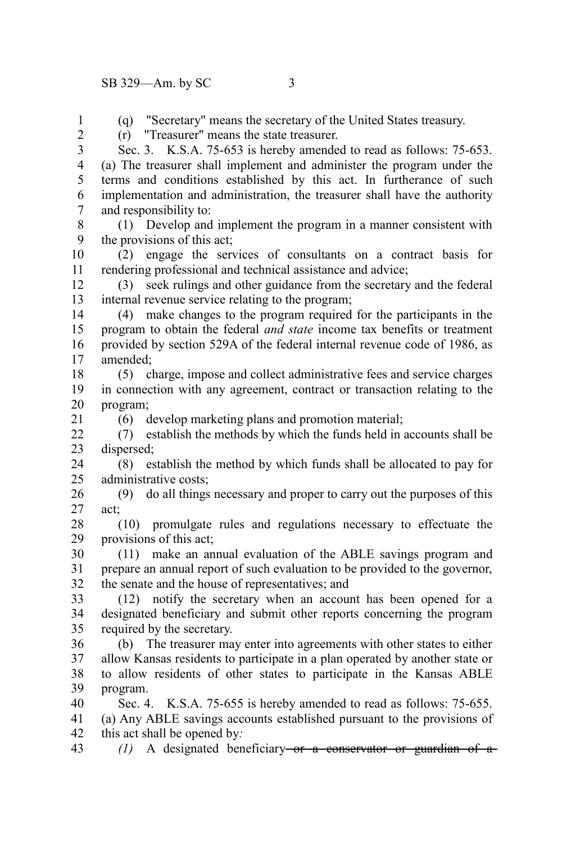(q) "Secretary" means the secretary of the United States treasury. (r) "Treasurer" means the state treasurer.

1  $\mathcal{L}$ 

21

Sec. 3. K.S.A. 75-653 is hereby amended to read as follows: 75-653. (a) The treasurer shall implement and administer the program under the terms and conditions established by this act. In furtherance of such implementation and administration, the treasurer shall have the authority and responsibility to: 3 4 5 6 7

(1) Develop and implement the program in a manner consistent with the provisions of this act; 8  $\mathbf{Q}$ 

(2) engage the services of consultants on a contract basis for rendering professional and technical assistance and advice; 10 11

(3) seek rulings and other guidance from the secretary and the federal internal revenue service relating to the program; 12 13

(4) make changes to the program required for the participants in the program to obtain the federal *and state* income tax benefits or treatment provided by section 529A of the federal internal revenue code of 1986, as amended; 14 15 16 17

(5) charge, impose and collect administrative fees and service charges in connection with any agreement, contract or transaction relating to the program; 18 19 20

(6) develop marketing plans and promotion material;

(7) establish the methods by which the funds held in accounts shall be dispersed;  $22$ 23

(8) establish the method by which funds shall be allocated to pay for administrative costs; 24 25

(9) do all things necessary and proper to carry out the purposes of this act; 26 27

(10) promulgate rules and regulations necessary to effectuate the provisions of this act; 28 29

(11) make an annual evaluation of the ABLE savings program and prepare an annual report of such evaluation to be provided to the governor, the senate and the house of representatives; and 30 31 32

(12) notify the secretary when an account has been opened for a designated beneficiary and submit other reports concerning the program required by the secretary. 33 34 35

(b) The treasurer may enter into agreements with other states to either allow Kansas residents to participate in a plan operated by another state or to allow residents of other states to participate in the Kansas ABLE program. 36 37 38 39

Sec. 4. K.S.A. 75-655 is hereby amended to read as follows: 75-655. 40

(a) Any ABLE savings accounts established pursuant to the provisions of this act shall be opened by*:* 41 42

*(1)* A designated beneficiary or a conservator or guardian of a 43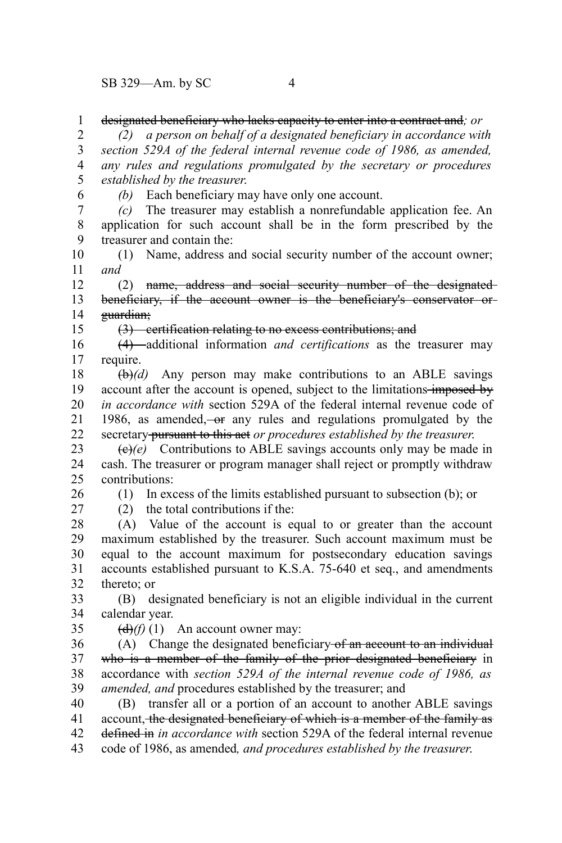designated beneficiary who lacks capacity to enter into a contract and*; or* 1

*(2) a person on behalf of a designated beneficiary in accordance with section 529A of the federal internal revenue code of 1986, as amended, any rules and regulations promulgated by the secretary or procedures established by the treasurer*. 2 3 4 5

6

15

*(b)* Each beneficiary may have only one account.

*(c)* The treasurer may establish a nonrefundable application fee. An application for such account shall be in the form prescribed by the treasurer and contain the: 7 8 9

(1) Name, address and social security number of the account owner; *and* 10 11

(2) name, address and social security number of the designated beneficiary, if the account owner is the beneficiary's conservator or guardian; 12 13 14

(3) certification relating to no excess contributions; and

(4) additional information *and certifications* as the treasurer may require. 16 17

(b)*(d)* Any person may make contributions to an ABLE savings account after the account is opened, subject to the limitations imposed by *in accordance with* section 529A of the federal internal revenue code of 1986, as amended, or any rules and regulations promulgated by the secretary pursuant to this act *or procedures established by the treasurer*. 18 19 20 21 22

(c)*(e)* Contributions to ABLE savings accounts only may be made in cash. The treasurer or program manager shall reject or promptly withdraw contributions: 23 24 25

26 27 (1) In excess of the limits established pursuant to subsection (b); or (2) the total contributions if the:

(A) Value of the account is equal to or greater than the account maximum established by the treasurer. Such account maximum must be equal to the account maximum for postsecondary education savings accounts established pursuant to K.S.A. 75-640 et seq., and amendments thereto; or 28 29 30 31 32

(B) designated beneficiary is not an eligible individual in the current calendar year. 33 34

35

 $\left(\frac{d}{d}\right)(f)$  (1) An account owner may:

(A) Change the designated beneficiary of an account to an individual who is a member of the family of the prior designated beneficiary in accordance with *section 529A of the internal revenue code of 1986, as amended, and* procedures established by the treasurer; and 36 37 38 39

(B) transfer all or a portion of an account to another ABLE savings account, the designated beneficiary of which is a member of the family as defined in *in accordance with* section 529A of the federal internal revenue code of 1986, as amended*, and procedures established by the treasurer*. 40 41 42 43